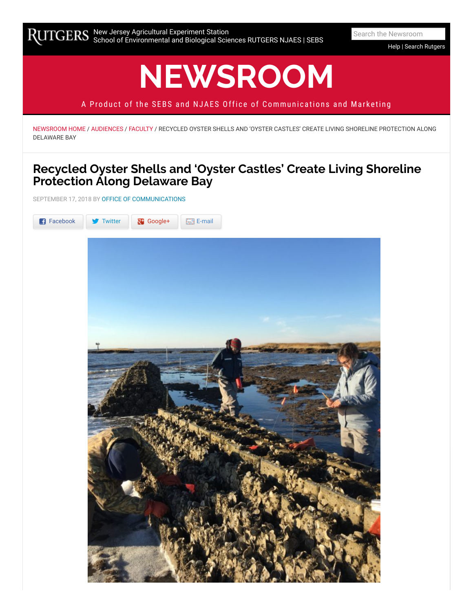[Help](https://sebsnjaesnews.rutgers.edu/advanced-search) | Search [Rutgers](http://search.rutgers.edu/)

# **[NEWSROOM](https://sebsnjaesnews.rutgers.edu/)**

A Product of the SEBS and NJAES Office of Communications and Marketing

[NEWSROOM HOME](https://sebsnjaesnews.rutgers.edu/) / [AUDIENCES](https://sebsnjaesnews.rutgers.edu/category/audiences/) / [FACULTY](https://sebsnjaesnews.rutgers.edu/category/audiences/faculty/) / RECYCLED OYSTER SHELLS AND 'OYSTER CASTLES' CREATE LIVING SHORELINE PROTECTION ALONG DELAWARE BAY

# **Recycled Oyster Shells and 'Oyster Castles' Create Living Shoreline Protection Along Delaware Bay**

SEPTEMBER 17, 2018 BY [OFFICE OF COMMUNICATIONS](https://sebsnjaesnews.rutgers.edu/author/office-of-communications-4/)

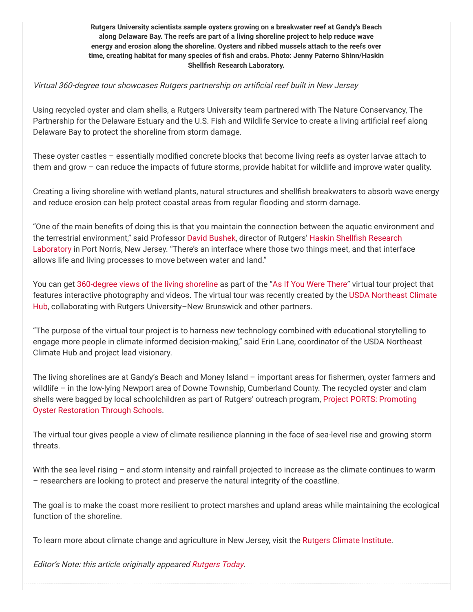**Rutgers University scientists sample oysters growing on a breakwater reef at Gandy's Beach along Delaware Bay. The reefs are part of a living shoreline project to help reduce wave energy and erosion along the shoreline. Oysters and ribbed mussels attach to the reefs over time, creating habitat for many species of sh and crabs. Photo: Jenny Paterno Shinn/Haskin Shellfish Research Laboratory.** 

#### Virtual 360-degree tour showcases Rutgers partnership on artificial reef built in New Jersey

Using recycled oyster and clam shells, a Rutgers University team partnered with The Nature Conservancy, The Partnership for the Delaware Estuary and the U.S. Fish and Wildlife Service to create a living artificial reef along Delaware Bay to protect the shoreline from storm damage.

These oyster castles  $-$  essentially modified concrete blocks that become living reefs as oyster larvae attach to them and grow – can reduce the impacts of future storms, provide habitat for wildlife and improve water quality.

Creating a living shoreline with wetland plants, natural structures and shellfish breakwaters to absorb wave energy and reduce erosion can help protect coastal areas from regular flooding and storm damage.

"One of the main benefits of doing this is that you maintain the connection between the aquatic environment and [the terrestrial environment," said Professor D](https://hsrl.rutgers.edu/)[avid Bushe](https://hsrl.rutgers.edu/people/faculty/dbushek.htm)k, director of Rutgers' Haskin Shellfish Research Laboratory in Port Norris, New Jersey. "There's an interface where those two things meet, and that interface allows life and living processes to move between water and land."

You can get [360-degree views of the living shoreline](https://www.climatehubs.oce.usda.gov/hubs/northeast/project/living-shorelines) as part of the ["As If You Were There](https://www.climatehubs.oce.usda.gov/hubs/northeast/project/360)" virtual tour project that [features interactive photography and videos. The virtual tour was recently created by the USDA Northeast Climate](https://www.climatehubs.oce.usda.gov/hubs/northeast) Hub, collaborating with Rutgers University–New Brunswick and other partners.

"The purpose of the virtual tour project is to harness new technology combined with educational storytelling to engage more people in climate informed decision-making," said Erin Lane, coordinator of the USDA Northeast Climate Hub and project lead visionary.

The living shorelines are at Gandy's Beach and Money Island – important areas for fishermen, oyster farmers and wildlife – in the low-lying Newport area of Downe Township, Cumberland County. The recycled oyster and clam [shells were bagged by local schoolchildren as part of Rutgers' outreach program, Project PORTS: Promoting](https://hsrl.rutgers.edu/PORTS/) Oyster Restoration Through Schools.

The virtual tour gives people a view of climate resilience planning in the face of sea-level rise and growing storm threats.

With the sea level rising – and storm intensity and rainfall projected to increase as the climate continues to warm – researchers are looking to protect and preserve the natural integrity of the coastline.

The goal is to make the coast more resilient to protect marshes and upland areas while maintaining the ecological function of the shoreline.

To learn more about climate change and agriculture in New Jersey, visit the [Rutgers Climate Institute](http://climatechange.rutgers.edu/resources/climate-change-and-agriculture.).

Editor's Note: this article originally appeared [Rutgers Today](https://news.rutgers.edu/recycled-oyster-shells-and-%E2%80%98oyster-castles%E2%80%99-create-living-shoreline-protection-along-delaware-bay/20180905#.W5u8_fZRdaR).